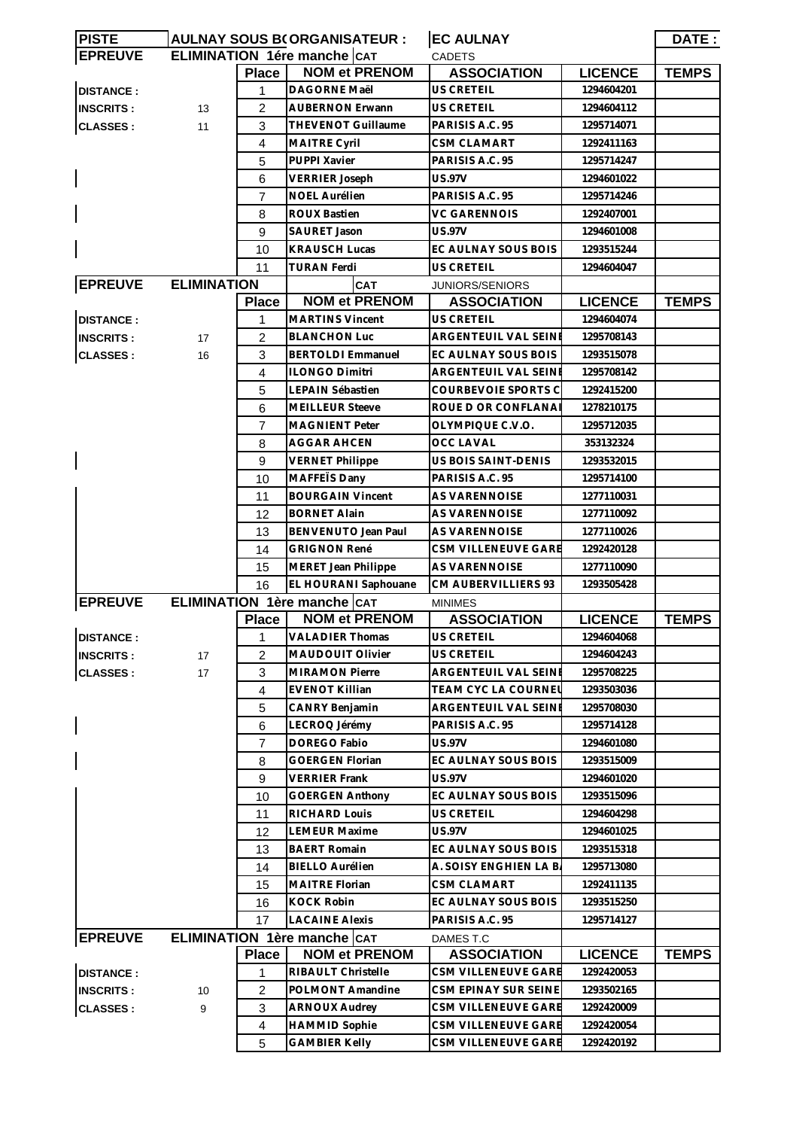| <b>EPREUVE</b><br>ELIMINATION 1ére manche CAT<br><b>CADETS</b><br><b>Place</b><br><b>NOM et PRENOM</b><br><b>ASSOCIATION</b><br><b>LICENCE</b><br><b>TEMPS</b><br><b>DAGORNE Maël</b><br>US CRETEIL<br>1294604201<br><b>DISTANCE:</b><br>1<br>2<br><b>AUBERNON Erwann</b><br>US CRETEIL<br><b>INSCRITS:</b><br>13<br>1294604112<br>3<br>THEVENOT Guillaume<br>PARISIS A.C. 95<br><b>CLASSES:</b><br>11<br>1295714071<br>$\overline{4}$<br>MAITRE Cyril<br><b>CSM CLAMART</b><br>1292411163<br>5<br>PUPPI Xavier<br>PARISIS A.C. 95<br>1295714247<br>6<br><b>US.97V</b><br><b>VERRIER Joseph</b><br>1294601022<br>$\overline{7}$<br>PARISIS A.C. 95<br><b>NOEL Aurélien</b><br>1295714246<br>8<br><b>ROUX Bastien</b><br>VC GARENNOIS<br>1292407001<br>9<br>SAURET Jason<br><b>US.97V</b><br>1294601008<br>EC AULNAY SOUS BOIS<br>10<br><b>KRAUSCH Lucas</b><br>1293515244<br>11<br>US CRETEIL<br><b>TURAN Ferdi</b><br>1294604047<br><b>EPREUVE</b><br><b>ELIMINATION</b><br>CAT<br>JUNIORS/SENIORS<br><b>NOM et PRENOM</b><br><b>ASSOCIATION</b><br><b>LICENCE</b><br><b>TEMPS</b><br><b>Place</b><br><b>DISTANCE:</b><br><b>MARTINS Vincent</b><br>US CRETEIL<br>1294604074<br>1<br>$\overline{2}$<br><b>BLANCHON Luc</b><br>ARGENTEUIL VAL SEINE<br>1295708143<br><b>INSCRITS:</b><br>17<br><b>CLASSES:</b><br>3<br><b>BERTOLDI Emmanuel</b><br>EC AULNAY SOUS BOIS<br>1293515078<br>16<br>$\overline{4}$<br><b>ILONGO Dimitri</b><br>ARGENTEUIL VAL SEINE<br>1295708142<br>5<br>COURBEVOIE SPORTS C<br>LEPAIN Sébastien<br>1292415200<br>6<br>ROUE D OR CONFLANA<br><b>MEILLEUR Steeve</b><br>1278210175<br>7<br>OLYMPIQUE C.V.O.<br><b>MAGNIENT Peter</b><br>1295712035<br>8<br><b>AGGAR AHCEN</b><br><b>OCC LAVAL</b><br>353132324<br>9<br>US BOIS SAINT-DENIS<br><b>VERNET Philippe</b><br>1293532015<br>MAFFETS Dany<br>10<br>PARISIS A.C. 95<br>1295714100<br>11<br><b>BOURGAIN Vincent</b><br>AS VARENNOISE<br>1277110031<br><b>BORNET Alain</b><br>AS VARENNOISE<br>12<br>1277110092<br>13<br>BENVENUTO Jean Paul<br>AS VARENNOISE<br>1277110026<br><b>GRIGNON René</b><br>CSM VILLENEUVE GARE<br>14<br>1292420128<br><b>AS VARENNOISE</b><br><b>MERET Jean Philippe</b><br>1277110090<br>15<br>16<br>EL HOURANI Saphouane<br>CM AUBERVILLIERS 93<br>1293505428<br><b>EPREUVE</b><br>ELIMINATION 1ère manche CAT<br><b>MINIMES</b><br><b>Place</b><br><b>NOM et PRENOM</b><br><b>ASSOCIATION</b><br><b>LICENCE</b><br><b>TEMPS</b><br><b>VALADIER Thomas</b><br>US CRETEIL<br>1294604068<br>1<br><b>DISTANCE:</b><br>$\overline{2}$<br>MAUDOUIT Olivier<br>US CRETEIL<br><b>INSCRITS:</b><br>1294604243<br>17<br>3<br><b>MIRAMON Pierre</b><br>ARGENTEUIL VAL SEINE<br>1295708225<br><b>CLASSES:</b><br>17<br><b>TEAM CYC LA COURNEL</b><br>$\overline{4}$<br><b>EVENOT Killian</b><br>1293503036<br>ARGENTEUIL VAL SEINE<br>1295708030<br>5<br>CANRY Benjamin<br>6<br>LECROQ Jérémy<br>PARISIS A.C. 95<br>1295714128<br>$\overline{7}$<br>DOREGO Fabio<br>US.97V<br>1294601080<br>8<br>EC AULNAY SOUS BOIS<br>GOERGEN Florian<br>1293515009<br>9<br><b>VERRIER Frank</b><br><b>US.97V</b><br>1294601020<br>10<br><b>GOERGEN Anthony</b><br>EC AULNAY SOUS BOIS<br>1293515096<br>RICHARD Louis<br>US CRETEIL<br>11<br>1294604298<br>US.97V<br>12<br><b>LEMEUR Maxime</b><br>1294601025<br>13<br><b>BAERT Romain</b><br>EC AULNAY SOUS BOIS<br>1293515318<br>14<br><b>BIELLO Aurélien</b><br>A. SOISY ENGHIEN LA B.<br>1295713080<br>15<br>MAITRE Florian<br><b>CSM CLAMART</b><br>1292411135<br><b>KOCK Robin</b><br>EC AULNAY SOUS BOIS<br>16<br>1293515250<br>17<br><b>LACAINE Alexis</b><br>PARISIS A.C. 95<br>1295714127<br><b>EPREUVE</b><br>ELIMINATION 1ère manche CAT<br>DAMES T.C<br><b>NOM et PRENOM</b><br><b>LICENCE</b><br><b>TEMPS</b><br><b>Place</b><br><b>ASSOCIATION</b><br><b>DISTANCE:</b><br>RIBAULT Christelle<br>CSM VILLENEUVE GARE<br>1292420053<br>1<br>POLMONT Amandine<br>$\overline{c}$<br>CSM EPINAY SUR SEINE<br>1293502165<br><b>INSCRITS:</b><br>10<br>3<br>CSM VILLENEUVE GARE<br><b>ARNOUX Audrey</b><br>1292420009<br>9 | <b>PISTE</b>    | <b>AULNAY SOUS B(ORGANISATEUR:</b> |   |                      | <b>EC AULNAY</b>    |            | DATE: |  |
|------------------------------------------------------------------------------------------------------------------------------------------------------------------------------------------------------------------------------------------------------------------------------------------------------------------------------------------------------------------------------------------------------------------------------------------------------------------------------------------------------------------------------------------------------------------------------------------------------------------------------------------------------------------------------------------------------------------------------------------------------------------------------------------------------------------------------------------------------------------------------------------------------------------------------------------------------------------------------------------------------------------------------------------------------------------------------------------------------------------------------------------------------------------------------------------------------------------------------------------------------------------------------------------------------------------------------------------------------------------------------------------------------------------------------------------------------------------------------------------------------------------------------------------------------------------------------------------------------------------------------------------------------------------------------------------------------------------------------------------------------------------------------------------------------------------------------------------------------------------------------------------------------------------------------------------------------------------------------------------------------------------------------------------------------------------------------------------------------------------------------------------------------------------------------------------------------------------------------------------------------------------------------------------------------------------------------------------------------------------------------------------------------------------------------------------------------------------------------------------------------------------------------------------------------------------------------------------------------------------------------------------------------------------------------------------------------------------------------------------------------------------------------------------------------------------------------------------------------------------------------------------------------------------------------------------------------------------------------------------------------------------------------------------------------------------------------------------------------------------------------------------------------------------------------------------------------------------------------------------------------------------------------------------------------------------------------------------------------------------------------------------------------------------------------------------------------------------------------------------------------------------------------------------------------------------------------------------------------------------------------------------------------------------------------------------------------------------------------------------------------------------------------------------------------------------------------------------------------------------------------------------------------------------------------------------------------------------------------------------------------------------------------------------------------------------------|-----------------|------------------------------------|---|----------------------|---------------------|------------|-------|--|
|                                                                                                                                                                                                                                                                                                                                                                                                                                                                                                                                                                                                                                                                                                                                                                                                                                                                                                                                                                                                                                                                                                                                                                                                                                                                                                                                                                                                                                                                                                                                                                                                                                                                                                                                                                                                                                                                                                                                                                                                                                                                                                                                                                                                                                                                                                                                                                                                                                                                                                                                                                                                                                                                                                                                                                                                                                                                                                                                                                                                                                                                                                                                                                                                                                                                                                                                                                                                                                                                                                                                                                                                                                                                                                                                                                                                                                                                                                                                                                                                                                                                        |                 |                                    |   |                      |                     |            |       |  |
|                                                                                                                                                                                                                                                                                                                                                                                                                                                                                                                                                                                                                                                                                                                                                                                                                                                                                                                                                                                                                                                                                                                                                                                                                                                                                                                                                                                                                                                                                                                                                                                                                                                                                                                                                                                                                                                                                                                                                                                                                                                                                                                                                                                                                                                                                                                                                                                                                                                                                                                                                                                                                                                                                                                                                                                                                                                                                                                                                                                                                                                                                                                                                                                                                                                                                                                                                                                                                                                                                                                                                                                                                                                                                                                                                                                                                                                                                                                                                                                                                                                                        |                 |                                    |   |                      |                     |            |       |  |
|                                                                                                                                                                                                                                                                                                                                                                                                                                                                                                                                                                                                                                                                                                                                                                                                                                                                                                                                                                                                                                                                                                                                                                                                                                                                                                                                                                                                                                                                                                                                                                                                                                                                                                                                                                                                                                                                                                                                                                                                                                                                                                                                                                                                                                                                                                                                                                                                                                                                                                                                                                                                                                                                                                                                                                                                                                                                                                                                                                                                                                                                                                                                                                                                                                                                                                                                                                                                                                                                                                                                                                                                                                                                                                                                                                                                                                                                                                                                                                                                                                                                        |                 |                                    |   |                      |                     |            |       |  |
|                                                                                                                                                                                                                                                                                                                                                                                                                                                                                                                                                                                                                                                                                                                                                                                                                                                                                                                                                                                                                                                                                                                                                                                                                                                                                                                                                                                                                                                                                                                                                                                                                                                                                                                                                                                                                                                                                                                                                                                                                                                                                                                                                                                                                                                                                                                                                                                                                                                                                                                                                                                                                                                                                                                                                                                                                                                                                                                                                                                                                                                                                                                                                                                                                                                                                                                                                                                                                                                                                                                                                                                                                                                                                                                                                                                                                                                                                                                                                                                                                                                                        |                 |                                    |   |                      |                     |            |       |  |
|                                                                                                                                                                                                                                                                                                                                                                                                                                                                                                                                                                                                                                                                                                                                                                                                                                                                                                                                                                                                                                                                                                                                                                                                                                                                                                                                                                                                                                                                                                                                                                                                                                                                                                                                                                                                                                                                                                                                                                                                                                                                                                                                                                                                                                                                                                                                                                                                                                                                                                                                                                                                                                                                                                                                                                                                                                                                                                                                                                                                                                                                                                                                                                                                                                                                                                                                                                                                                                                                                                                                                                                                                                                                                                                                                                                                                                                                                                                                                                                                                                                                        |                 |                                    |   |                      |                     |            |       |  |
|                                                                                                                                                                                                                                                                                                                                                                                                                                                                                                                                                                                                                                                                                                                                                                                                                                                                                                                                                                                                                                                                                                                                                                                                                                                                                                                                                                                                                                                                                                                                                                                                                                                                                                                                                                                                                                                                                                                                                                                                                                                                                                                                                                                                                                                                                                                                                                                                                                                                                                                                                                                                                                                                                                                                                                                                                                                                                                                                                                                                                                                                                                                                                                                                                                                                                                                                                                                                                                                                                                                                                                                                                                                                                                                                                                                                                                                                                                                                                                                                                                                                        |                 |                                    |   |                      |                     |            |       |  |
|                                                                                                                                                                                                                                                                                                                                                                                                                                                                                                                                                                                                                                                                                                                                                                                                                                                                                                                                                                                                                                                                                                                                                                                                                                                                                                                                                                                                                                                                                                                                                                                                                                                                                                                                                                                                                                                                                                                                                                                                                                                                                                                                                                                                                                                                                                                                                                                                                                                                                                                                                                                                                                                                                                                                                                                                                                                                                                                                                                                                                                                                                                                                                                                                                                                                                                                                                                                                                                                                                                                                                                                                                                                                                                                                                                                                                                                                                                                                                                                                                                                                        |                 |                                    |   |                      |                     |            |       |  |
|                                                                                                                                                                                                                                                                                                                                                                                                                                                                                                                                                                                                                                                                                                                                                                                                                                                                                                                                                                                                                                                                                                                                                                                                                                                                                                                                                                                                                                                                                                                                                                                                                                                                                                                                                                                                                                                                                                                                                                                                                                                                                                                                                                                                                                                                                                                                                                                                                                                                                                                                                                                                                                                                                                                                                                                                                                                                                                                                                                                                                                                                                                                                                                                                                                                                                                                                                                                                                                                                                                                                                                                                                                                                                                                                                                                                                                                                                                                                                                                                                                                                        |                 |                                    |   |                      |                     |            |       |  |
|                                                                                                                                                                                                                                                                                                                                                                                                                                                                                                                                                                                                                                                                                                                                                                                                                                                                                                                                                                                                                                                                                                                                                                                                                                                                                                                                                                                                                                                                                                                                                                                                                                                                                                                                                                                                                                                                                                                                                                                                                                                                                                                                                                                                                                                                                                                                                                                                                                                                                                                                                                                                                                                                                                                                                                                                                                                                                                                                                                                                                                                                                                                                                                                                                                                                                                                                                                                                                                                                                                                                                                                                                                                                                                                                                                                                                                                                                                                                                                                                                                                                        |                 |                                    |   |                      |                     |            |       |  |
|                                                                                                                                                                                                                                                                                                                                                                                                                                                                                                                                                                                                                                                                                                                                                                                                                                                                                                                                                                                                                                                                                                                                                                                                                                                                                                                                                                                                                                                                                                                                                                                                                                                                                                                                                                                                                                                                                                                                                                                                                                                                                                                                                                                                                                                                                                                                                                                                                                                                                                                                                                                                                                                                                                                                                                                                                                                                                                                                                                                                                                                                                                                                                                                                                                                                                                                                                                                                                                                                                                                                                                                                                                                                                                                                                                                                                                                                                                                                                                                                                                                                        |                 |                                    |   |                      |                     |            |       |  |
|                                                                                                                                                                                                                                                                                                                                                                                                                                                                                                                                                                                                                                                                                                                                                                                                                                                                                                                                                                                                                                                                                                                                                                                                                                                                                                                                                                                                                                                                                                                                                                                                                                                                                                                                                                                                                                                                                                                                                                                                                                                                                                                                                                                                                                                                                                                                                                                                                                                                                                                                                                                                                                                                                                                                                                                                                                                                                                                                                                                                                                                                                                                                                                                                                                                                                                                                                                                                                                                                                                                                                                                                                                                                                                                                                                                                                                                                                                                                                                                                                                                                        |                 |                                    |   |                      |                     |            |       |  |
|                                                                                                                                                                                                                                                                                                                                                                                                                                                                                                                                                                                                                                                                                                                                                                                                                                                                                                                                                                                                                                                                                                                                                                                                                                                                                                                                                                                                                                                                                                                                                                                                                                                                                                                                                                                                                                                                                                                                                                                                                                                                                                                                                                                                                                                                                                                                                                                                                                                                                                                                                                                                                                                                                                                                                                                                                                                                                                                                                                                                                                                                                                                                                                                                                                                                                                                                                                                                                                                                                                                                                                                                                                                                                                                                                                                                                                                                                                                                                                                                                                                                        |                 |                                    |   |                      |                     |            |       |  |
|                                                                                                                                                                                                                                                                                                                                                                                                                                                                                                                                                                                                                                                                                                                                                                                                                                                                                                                                                                                                                                                                                                                                                                                                                                                                                                                                                                                                                                                                                                                                                                                                                                                                                                                                                                                                                                                                                                                                                                                                                                                                                                                                                                                                                                                                                                                                                                                                                                                                                                                                                                                                                                                                                                                                                                                                                                                                                                                                                                                                                                                                                                                                                                                                                                                                                                                                                                                                                                                                                                                                                                                                                                                                                                                                                                                                                                                                                                                                                                                                                                                                        |                 |                                    |   |                      |                     |            |       |  |
|                                                                                                                                                                                                                                                                                                                                                                                                                                                                                                                                                                                                                                                                                                                                                                                                                                                                                                                                                                                                                                                                                                                                                                                                                                                                                                                                                                                                                                                                                                                                                                                                                                                                                                                                                                                                                                                                                                                                                                                                                                                                                                                                                                                                                                                                                                                                                                                                                                                                                                                                                                                                                                                                                                                                                                                                                                                                                                                                                                                                                                                                                                                                                                                                                                                                                                                                                                                                                                                                                                                                                                                                                                                                                                                                                                                                                                                                                                                                                                                                                                                                        |                 |                                    |   |                      |                     |            |       |  |
|                                                                                                                                                                                                                                                                                                                                                                                                                                                                                                                                                                                                                                                                                                                                                                                                                                                                                                                                                                                                                                                                                                                                                                                                                                                                                                                                                                                                                                                                                                                                                                                                                                                                                                                                                                                                                                                                                                                                                                                                                                                                                                                                                                                                                                                                                                                                                                                                                                                                                                                                                                                                                                                                                                                                                                                                                                                                                                                                                                                                                                                                                                                                                                                                                                                                                                                                                                                                                                                                                                                                                                                                                                                                                                                                                                                                                                                                                                                                                                                                                                                                        |                 |                                    |   |                      |                     |            |       |  |
|                                                                                                                                                                                                                                                                                                                                                                                                                                                                                                                                                                                                                                                                                                                                                                                                                                                                                                                                                                                                                                                                                                                                                                                                                                                                                                                                                                                                                                                                                                                                                                                                                                                                                                                                                                                                                                                                                                                                                                                                                                                                                                                                                                                                                                                                                                                                                                                                                                                                                                                                                                                                                                                                                                                                                                                                                                                                                                                                                                                                                                                                                                                                                                                                                                                                                                                                                                                                                                                                                                                                                                                                                                                                                                                                                                                                                                                                                                                                                                                                                                                                        |                 |                                    |   |                      |                     |            |       |  |
|                                                                                                                                                                                                                                                                                                                                                                                                                                                                                                                                                                                                                                                                                                                                                                                                                                                                                                                                                                                                                                                                                                                                                                                                                                                                                                                                                                                                                                                                                                                                                                                                                                                                                                                                                                                                                                                                                                                                                                                                                                                                                                                                                                                                                                                                                                                                                                                                                                                                                                                                                                                                                                                                                                                                                                                                                                                                                                                                                                                                                                                                                                                                                                                                                                                                                                                                                                                                                                                                                                                                                                                                                                                                                                                                                                                                                                                                                                                                                                                                                                                                        |                 |                                    |   |                      |                     |            |       |  |
|                                                                                                                                                                                                                                                                                                                                                                                                                                                                                                                                                                                                                                                                                                                                                                                                                                                                                                                                                                                                                                                                                                                                                                                                                                                                                                                                                                                                                                                                                                                                                                                                                                                                                                                                                                                                                                                                                                                                                                                                                                                                                                                                                                                                                                                                                                                                                                                                                                                                                                                                                                                                                                                                                                                                                                                                                                                                                                                                                                                                                                                                                                                                                                                                                                                                                                                                                                                                                                                                                                                                                                                                                                                                                                                                                                                                                                                                                                                                                                                                                                                                        |                 |                                    |   |                      |                     |            |       |  |
|                                                                                                                                                                                                                                                                                                                                                                                                                                                                                                                                                                                                                                                                                                                                                                                                                                                                                                                                                                                                                                                                                                                                                                                                                                                                                                                                                                                                                                                                                                                                                                                                                                                                                                                                                                                                                                                                                                                                                                                                                                                                                                                                                                                                                                                                                                                                                                                                                                                                                                                                                                                                                                                                                                                                                                                                                                                                                                                                                                                                                                                                                                                                                                                                                                                                                                                                                                                                                                                                                                                                                                                                                                                                                                                                                                                                                                                                                                                                                                                                                                                                        |                 |                                    |   |                      |                     |            |       |  |
|                                                                                                                                                                                                                                                                                                                                                                                                                                                                                                                                                                                                                                                                                                                                                                                                                                                                                                                                                                                                                                                                                                                                                                                                                                                                                                                                                                                                                                                                                                                                                                                                                                                                                                                                                                                                                                                                                                                                                                                                                                                                                                                                                                                                                                                                                                                                                                                                                                                                                                                                                                                                                                                                                                                                                                                                                                                                                                                                                                                                                                                                                                                                                                                                                                                                                                                                                                                                                                                                                                                                                                                                                                                                                                                                                                                                                                                                                                                                                                                                                                                                        |                 |                                    |   |                      |                     |            |       |  |
|                                                                                                                                                                                                                                                                                                                                                                                                                                                                                                                                                                                                                                                                                                                                                                                                                                                                                                                                                                                                                                                                                                                                                                                                                                                                                                                                                                                                                                                                                                                                                                                                                                                                                                                                                                                                                                                                                                                                                                                                                                                                                                                                                                                                                                                                                                                                                                                                                                                                                                                                                                                                                                                                                                                                                                                                                                                                                                                                                                                                                                                                                                                                                                                                                                                                                                                                                                                                                                                                                                                                                                                                                                                                                                                                                                                                                                                                                                                                                                                                                                                                        |                 |                                    |   |                      |                     |            |       |  |
|                                                                                                                                                                                                                                                                                                                                                                                                                                                                                                                                                                                                                                                                                                                                                                                                                                                                                                                                                                                                                                                                                                                                                                                                                                                                                                                                                                                                                                                                                                                                                                                                                                                                                                                                                                                                                                                                                                                                                                                                                                                                                                                                                                                                                                                                                                                                                                                                                                                                                                                                                                                                                                                                                                                                                                                                                                                                                                                                                                                                                                                                                                                                                                                                                                                                                                                                                                                                                                                                                                                                                                                                                                                                                                                                                                                                                                                                                                                                                                                                                                                                        |                 |                                    |   |                      |                     |            |       |  |
|                                                                                                                                                                                                                                                                                                                                                                                                                                                                                                                                                                                                                                                                                                                                                                                                                                                                                                                                                                                                                                                                                                                                                                                                                                                                                                                                                                                                                                                                                                                                                                                                                                                                                                                                                                                                                                                                                                                                                                                                                                                                                                                                                                                                                                                                                                                                                                                                                                                                                                                                                                                                                                                                                                                                                                                                                                                                                                                                                                                                                                                                                                                                                                                                                                                                                                                                                                                                                                                                                                                                                                                                                                                                                                                                                                                                                                                                                                                                                                                                                                                                        |                 |                                    |   |                      |                     |            |       |  |
|                                                                                                                                                                                                                                                                                                                                                                                                                                                                                                                                                                                                                                                                                                                                                                                                                                                                                                                                                                                                                                                                                                                                                                                                                                                                                                                                                                                                                                                                                                                                                                                                                                                                                                                                                                                                                                                                                                                                                                                                                                                                                                                                                                                                                                                                                                                                                                                                                                                                                                                                                                                                                                                                                                                                                                                                                                                                                                                                                                                                                                                                                                                                                                                                                                                                                                                                                                                                                                                                                                                                                                                                                                                                                                                                                                                                                                                                                                                                                                                                                                                                        |                 |                                    |   |                      |                     |            |       |  |
|                                                                                                                                                                                                                                                                                                                                                                                                                                                                                                                                                                                                                                                                                                                                                                                                                                                                                                                                                                                                                                                                                                                                                                                                                                                                                                                                                                                                                                                                                                                                                                                                                                                                                                                                                                                                                                                                                                                                                                                                                                                                                                                                                                                                                                                                                                                                                                                                                                                                                                                                                                                                                                                                                                                                                                                                                                                                                                                                                                                                                                                                                                                                                                                                                                                                                                                                                                                                                                                                                                                                                                                                                                                                                                                                                                                                                                                                                                                                                                                                                                                                        |                 |                                    |   |                      |                     |            |       |  |
|                                                                                                                                                                                                                                                                                                                                                                                                                                                                                                                                                                                                                                                                                                                                                                                                                                                                                                                                                                                                                                                                                                                                                                                                                                                                                                                                                                                                                                                                                                                                                                                                                                                                                                                                                                                                                                                                                                                                                                                                                                                                                                                                                                                                                                                                                                                                                                                                                                                                                                                                                                                                                                                                                                                                                                                                                                                                                                                                                                                                                                                                                                                                                                                                                                                                                                                                                                                                                                                                                                                                                                                                                                                                                                                                                                                                                                                                                                                                                                                                                                                                        |                 |                                    |   |                      |                     |            |       |  |
|                                                                                                                                                                                                                                                                                                                                                                                                                                                                                                                                                                                                                                                                                                                                                                                                                                                                                                                                                                                                                                                                                                                                                                                                                                                                                                                                                                                                                                                                                                                                                                                                                                                                                                                                                                                                                                                                                                                                                                                                                                                                                                                                                                                                                                                                                                                                                                                                                                                                                                                                                                                                                                                                                                                                                                                                                                                                                                                                                                                                                                                                                                                                                                                                                                                                                                                                                                                                                                                                                                                                                                                                                                                                                                                                                                                                                                                                                                                                                                                                                                                                        |                 |                                    |   |                      |                     |            |       |  |
|                                                                                                                                                                                                                                                                                                                                                                                                                                                                                                                                                                                                                                                                                                                                                                                                                                                                                                                                                                                                                                                                                                                                                                                                                                                                                                                                                                                                                                                                                                                                                                                                                                                                                                                                                                                                                                                                                                                                                                                                                                                                                                                                                                                                                                                                                                                                                                                                                                                                                                                                                                                                                                                                                                                                                                                                                                                                                                                                                                                                                                                                                                                                                                                                                                                                                                                                                                                                                                                                                                                                                                                                                                                                                                                                                                                                                                                                                                                                                                                                                                                                        |                 |                                    |   |                      |                     |            |       |  |
|                                                                                                                                                                                                                                                                                                                                                                                                                                                                                                                                                                                                                                                                                                                                                                                                                                                                                                                                                                                                                                                                                                                                                                                                                                                                                                                                                                                                                                                                                                                                                                                                                                                                                                                                                                                                                                                                                                                                                                                                                                                                                                                                                                                                                                                                                                                                                                                                                                                                                                                                                                                                                                                                                                                                                                                                                                                                                                                                                                                                                                                                                                                                                                                                                                                                                                                                                                                                                                                                                                                                                                                                                                                                                                                                                                                                                                                                                                                                                                                                                                                                        |                 |                                    |   |                      |                     |            |       |  |
|                                                                                                                                                                                                                                                                                                                                                                                                                                                                                                                                                                                                                                                                                                                                                                                                                                                                                                                                                                                                                                                                                                                                                                                                                                                                                                                                                                                                                                                                                                                                                                                                                                                                                                                                                                                                                                                                                                                                                                                                                                                                                                                                                                                                                                                                                                                                                                                                                                                                                                                                                                                                                                                                                                                                                                                                                                                                                                                                                                                                                                                                                                                                                                                                                                                                                                                                                                                                                                                                                                                                                                                                                                                                                                                                                                                                                                                                                                                                                                                                                                                                        |                 |                                    |   |                      |                     |            |       |  |
|                                                                                                                                                                                                                                                                                                                                                                                                                                                                                                                                                                                                                                                                                                                                                                                                                                                                                                                                                                                                                                                                                                                                                                                                                                                                                                                                                                                                                                                                                                                                                                                                                                                                                                                                                                                                                                                                                                                                                                                                                                                                                                                                                                                                                                                                                                                                                                                                                                                                                                                                                                                                                                                                                                                                                                                                                                                                                                                                                                                                                                                                                                                                                                                                                                                                                                                                                                                                                                                                                                                                                                                                                                                                                                                                                                                                                                                                                                                                                                                                                                                                        |                 |                                    |   |                      |                     |            |       |  |
|                                                                                                                                                                                                                                                                                                                                                                                                                                                                                                                                                                                                                                                                                                                                                                                                                                                                                                                                                                                                                                                                                                                                                                                                                                                                                                                                                                                                                                                                                                                                                                                                                                                                                                                                                                                                                                                                                                                                                                                                                                                                                                                                                                                                                                                                                                                                                                                                                                                                                                                                                                                                                                                                                                                                                                                                                                                                                                                                                                                                                                                                                                                                                                                                                                                                                                                                                                                                                                                                                                                                                                                                                                                                                                                                                                                                                                                                                                                                                                                                                                                                        |                 |                                    |   |                      |                     |            |       |  |
|                                                                                                                                                                                                                                                                                                                                                                                                                                                                                                                                                                                                                                                                                                                                                                                                                                                                                                                                                                                                                                                                                                                                                                                                                                                                                                                                                                                                                                                                                                                                                                                                                                                                                                                                                                                                                                                                                                                                                                                                                                                                                                                                                                                                                                                                                                                                                                                                                                                                                                                                                                                                                                                                                                                                                                                                                                                                                                                                                                                                                                                                                                                                                                                                                                                                                                                                                                                                                                                                                                                                                                                                                                                                                                                                                                                                                                                                                                                                                                                                                                                                        |                 |                                    |   |                      |                     |            |       |  |
|                                                                                                                                                                                                                                                                                                                                                                                                                                                                                                                                                                                                                                                                                                                                                                                                                                                                                                                                                                                                                                                                                                                                                                                                                                                                                                                                                                                                                                                                                                                                                                                                                                                                                                                                                                                                                                                                                                                                                                                                                                                                                                                                                                                                                                                                                                                                                                                                                                                                                                                                                                                                                                                                                                                                                                                                                                                                                                                                                                                                                                                                                                                                                                                                                                                                                                                                                                                                                                                                                                                                                                                                                                                                                                                                                                                                                                                                                                                                                                                                                                                                        |                 |                                    |   |                      |                     |            |       |  |
|                                                                                                                                                                                                                                                                                                                                                                                                                                                                                                                                                                                                                                                                                                                                                                                                                                                                                                                                                                                                                                                                                                                                                                                                                                                                                                                                                                                                                                                                                                                                                                                                                                                                                                                                                                                                                                                                                                                                                                                                                                                                                                                                                                                                                                                                                                                                                                                                                                                                                                                                                                                                                                                                                                                                                                                                                                                                                                                                                                                                                                                                                                                                                                                                                                                                                                                                                                                                                                                                                                                                                                                                                                                                                                                                                                                                                                                                                                                                                                                                                                                                        |                 |                                    |   |                      |                     |            |       |  |
|                                                                                                                                                                                                                                                                                                                                                                                                                                                                                                                                                                                                                                                                                                                                                                                                                                                                                                                                                                                                                                                                                                                                                                                                                                                                                                                                                                                                                                                                                                                                                                                                                                                                                                                                                                                                                                                                                                                                                                                                                                                                                                                                                                                                                                                                                                                                                                                                                                                                                                                                                                                                                                                                                                                                                                                                                                                                                                                                                                                                                                                                                                                                                                                                                                                                                                                                                                                                                                                                                                                                                                                                                                                                                                                                                                                                                                                                                                                                                                                                                                                                        |                 |                                    |   |                      |                     |            |       |  |
|                                                                                                                                                                                                                                                                                                                                                                                                                                                                                                                                                                                                                                                                                                                                                                                                                                                                                                                                                                                                                                                                                                                                                                                                                                                                                                                                                                                                                                                                                                                                                                                                                                                                                                                                                                                                                                                                                                                                                                                                                                                                                                                                                                                                                                                                                                                                                                                                                                                                                                                                                                                                                                                                                                                                                                                                                                                                                                                                                                                                                                                                                                                                                                                                                                                                                                                                                                                                                                                                                                                                                                                                                                                                                                                                                                                                                                                                                                                                                                                                                                                                        |                 |                                    |   |                      |                     |            |       |  |
|                                                                                                                                                                                                                                                                                                                                                                                                                                                                                                                                                                                                                                                                                                                                                                                                                                                                                                                                                                                                                                                                                                                                                                                                                                                                                                                                                                                                                                                                                                                                                                                                                                                                                                                                                                                                                                                                                                                                                                                                                                                                                                                                                                                                                                                                                                                                                                                                                                                                                                                                                                                                                                                                                                                                                                                                                                                                                                                                                                                                                                                                                                                                                                                                                                                                                                                                                                                                                                                                                                                                                                                                                                                                                                                                                                                                                                                                                                                                                                                                                                                                        |                 |                                    |   |                      |                     |            |       |  |
|                                                                                                                                                                                                                                                                                                                                                                                                                                                                                                                                                                                                                                                                                                                                                                                                                                                                                                                                                                                                                                                                                                                                                                                                                                                                                                                                                                                                                                                                                                                                                                                                                                                                                                                                                                                                                                                                                                                                                                                                                                                                                                                                                                                                                                                                                                                                                                                                                                                                                                                                                                                                                                                                                                                                                                                                                                                                                                                                                                                                                                                                                                                                                                                                                                                                                                                                                                                                                                                                                                                                                                                                                                                                                                                                                                                                                                                                                                                                                                                                                                                                        |                 |                                    |   |                      |                     |            |       |  |
|                                                                                                                                                                                                                                                                                                                                                                                                                                                                                                                                                                                                                                                                                                                                                                                                                                                                                                                                                                                                                                                                                                                                                                                                                                                                                                                                                                                                                                                                                                                                                                                                                                                                                                                                                                                                                                                                                                                                                                                                                                                                                                                                                                                                                                                                                                                                                                                                                                                                                                                                                                                                                                                                                                                                                                                                                                                                                                                                                                                                                                                                                                                                                                                                                                                                                                                                                                                                                                                                                                                                                                                                                                                                                                                                                                                                                                                                                                                                                                                                                                                                        |                 |                                    |   |                      |                     |            |       |  |
|                                                                                                                                                                                                                                                                                                                                                                                                                                                                                                                                                                                                                                                                                                                                                                                                                                                                                                                                                                                                                                                                                                                                                                                                                                                                                                                                                                                                                                                                                                                                                                                                                                                                                                                                                                                                                                                                                                                                                                                                                                                                                                                                                                                                                                                                                                                                                                                                                                                                                                                                                                                                                                                                                                                                                                                                                                                                                                                                                                                                                                                                                                                                                                                                                                                                                                                                                                                                                                                                                                                                                                                                                                                                                                                                                                                                                                                                                                                                                                                                                                                                        |                 |                                    |   |                      |                     |            |       |  |
|                                                                                                                                                                                                                                                                                                                                                                                                                                                                                                                                                                                                                                                                                                                                                                                                                                                                                                                                                                                                                                                                                                                                                                                                                                                                                                                                                                                                                                                                                                                                                                                                                                                                                                                                                                                                                                                                                                                                                                                                                                                                                                                                                                                                                                                                                                                                                                                                                                                                                                                                                                                                                                                                                                                                                                                                                                                                                                                                                                                                                                                                                                                                                                                                                                                                                                                                                                                                                                                                                                                                                                                                                                                                                                                                                                                                                                                                                                                                                                                                                                                                        |                 |                                    |   |                      |                     |            |       |  |
|                                                                                                                                                                                                                                                                                                                                                                                                                                                                                                                                                                                                                                                                                                                                                                                                                                                                                                                                                                                                                                                                                                                                                                                                                                                                                                                                                                                                                                                                                                                                                                                                                                                                                                                                                                                                                                                                                                                                                                                                                                                                                                                                                                                                                                                                                                                                                                                                                                                                                                                                                                                                                                                                                                                                                                                                                                                                                                                                                                                                                                                                                                                                                                                                                                                                                                                                                                                                                                                                                                                                                                                                                                                                                                                                                                                                                                                                                                                                                                                                                                                                        |                 |                                    |   |                      |                     |            |       |  |
|                                                                                                                                                                                                                                                                                                                                                                                                                                                                                                                                                                                                                                                                                                                                                                                                                                                                                                                                                                                                                                                                                                                                                                                                                                                                                                                                                                                                                                                                                                                                                                                                                                                                                                                                                                                                                                                                                                                                                                                                                                                                                                                                                                                                                                                                                                                                                                                                                                                                                                                                                                                                                                                                                                                                                                                                                                                                                                                                                                                                                                                                                                                                                                                                                                                                                                                                                                                                                                                                                                                                                                                                                                                                                                                                                                                                                                                                                                                                                                                                                                                                        |                 |                                    |   |                      |                     |            |       |  |
|                                                                                                                                                                                                                                                                                                                                                                                                                                                                                                                                                                                                                                                                                                                                                                                                                                                                                                                                                                                                                                                                                                                                                                                                                                                                                                                                                                                                                                                                                                                                                                                                                                                                                                                                                                                                                                                                                                                                                                                                                                                                                                                                                                                                                                                                                                                                                                                                                                                                                                                                                                                                                                                                                                                                                                                                                                                                                                                                                                                                                                                                                                                                                                                                                                                                                                                                                                                                                                                                                                                                                                                                                                                                                                                                                                                                                                                                                                                                                                                                                                                                        |                 |                                    |   |                      |                     |            |       |  |
|                                                                                                                                                                                                                                                                                                                                                                                                                                                                                                                                                                                                                                                                                                                                                                                                                                                                                                                                                                                                                                                                                                                                                                                                                                                                                                                                                                                                                                                                                                                                                                                                                                                                                                                                                                                                                                                                                                                                                                                                                                                                                                                                                                                                                                                                                                                                                                                                                                                                                                                                                                                                                                                                                                                                                                                                                                                                                                                                                                                                                                                                                                                                                                                                                                                                                                                                                                                                                                                                                                                                                                                                                                                                                                                                                                                                                                                                                                                                                                                                                                                                        |                 |                                    |   |                      |                     |            |       |  |
|                                                                                                                                                                                                                                                                                                                                                                                                                                                                                                                                                                                                                                                                                                                                                                                                                                                                                                                                                                                                                                                                                                                                                                                                                                                                                                                                                                                                                                                                                                                                                                                                                                                                                                                                                                                                                                                                                                                                                                                                                                                                                                                                                                                                                                                                                                                                                                                                                                                                                                                                                                                                                                                                                                                                                                                                                                                                                                                                                                                                                                                                                                                                                                                                                                                                                                                                                                                                                                                                                                                                                                                                                                                                                                                                                                                                                                                                                                                                                                                                                                                                        |                 |                                    |   |                      |                     |            |       |  |
|                                                                                                                                                                                                                                                                                                                                                                                                                                                                                                                                                                                                                                                                                                                                                                                                                                                                                                                                                                                                                                                                                                                                                                                                                                                                                                                                                                                                                                                                                                                                                                                                                                                                                                                                                                                                                                                                                                                                                                                                                                                                                                                                                                                                                                                                                                                                                                                                                                                                                                                                                                                                                                                                                                                                                                                                                                                                                                                                                                                                                                                                                                                                                                                                                                                                                                                                                                                                                                                                                                                                                                                                                                                                                                                                                                                                                                                                                                                                                                                                                                                                        |                 |                                    |   |                      |                     |            |       |  |
|                                                                                                                                                                                                                                                                                                                                                                                                                                                                                                                                                                                                                                                                                                                                                                                                                                                                                                                                                                                                                                                                                                                                                                                                                                                                                                                                                                                                                                                                                                                                                                                                                                                                                                                                                                                                                                                                                                                                                                                                                                                                                                                                                                                                                                                                                                                                                                                                                                                                                                                                                                                                                                                                                                                                                                                                                                                                                                                                                                                                                                                                                                                                                                                                                                                                                                                                                                                                                                                                                                                                                                                                                                                                                                                                                                                                                                                                                                                                                                                                                                                                        |                 |                                    |   |                      |                     |            |       |  |
|                                                                                                                                                                                                                                                                                                                                                                                                                                                                                                                                                                                                                                                                                                                                                                                                                                                                                                                                                                                                                                                                                                                                                                                                                                                                                                                                                                                                                                                                                                                                                                                                                                                                                                                                                                                                                                                                                                                                                                                                                                                                                                                                                                                                                                                                                                                                                                                                                                                                                                                                                                                                                                                                                                                                                                                                                                                                                                                                                                                                                                                                                                                                                                                                                                                                                                                                                                                                                                                                                                                                                                                                                                                                                                                                                                                                                                                                                                                                                                                                                                                                        |                 |                                    |   |                      |                     |            |       |  |
|                                                                                                                                                                                                                                                                                                                                                                                                                                                                                                                                                                                                                                                                                                                                                                                                                                                                                                                                                                                                                                                                                                                                                                                                                                                                                                                                                                                                                                                                                                                                                                                                                                                                                                                                                                                                                                                                                                                                                                                                                                                                                                                                                                                                                                                                                                                                                                                                                                                                                                                                                                                                                                                                                                                                                                                                                                                                                                                                                                                                                                                                                                                                                                                                                                                                                                                                                                                                                                                                                                                                                                                                                                                                                                                                                                                                                                                                                                                                                                                                                                                                        |                 |                                    |   |                      |                     |            |       |  |
|                                                                                                                                                                                                                                                                                                                                                                                                                                                                                                                                                                                                                                                                                                                                                                                                                                                                                                                                                                                                                                                                                                                                                                                                                                                                                                                                                                                                                                                                                                                                                                                                                                                                                                                                                                                                                                                                                                                                                                                                                                                                                                                                                                                                                                                                                                                                                                                                                                                                                                                                                                                                                                                                                                                                                                                                                                                                                                                                                                                                                                                                                                                                                                                                                                                                                                                                                                                                                                                                                                                                                                                                                                                                                                                                                                                                                                                                                                                                                                                                                                                                        |                 |                                    |   |                      |                     |            |       |  |
|                                                                                                                                                                                                                                                                                                                                                                                                                                                                                                                                                                                                                                                                                                                                                                                                                                                                                                                                                                                                                                                                                                                                                                                                                                                                                                                                                                                                                                                                                                                                                                                                                                                                                                                                                                                                                                                                                                                                                                                                                                                                                                                                                                                                                                                                                                                                                                                                                                                                                                                                                                                                                                                                                                                                                                                                                                                                                                                                                                                                                                                                                                                                                                                                                                                                                                                                                                                                                                                                                                                                                                                                                                                                                                                                                                                                                                                                                                                                                                                                                                                                        |                 |                                    |   |                      |                     |            |       |  |
|                                                                                                                                                                                                                                                                                                                                                                                                                                                                                                                                                                                                                                                                                                                                                                                                                                                                                                                                                                                                                                                                                                                                                                                                                                                                                                                                                                                                                                                                                                                                                                                                                                                                                                                                                                                                                                                                                                                                                                                                                                                                                                                                                                                                                                                                                                                                                                                                                                                                                                                                                                                                                                                                                                                                                                                                                                                                                                                                                                                                                                                                                                                                                                                                                                                                                                                                                                                                                                                                                                                                                                                                                                                                                                                                                                                                                                                                                                                                                                                                                                                                        |                 |                                    |   |                      |                     |            |       |  |
|                                                                                                                                                                                                                                                                                                                                                                                                                                                                                                                                                                                                                                                                                                                                                                                                                                                                                                                                                                                                                                                                                                                                                                                                                                                                                                                                                                                                                                                                                                                                                                                                                                                                                                                                                                                                                                                                                                                                                                                                                                                                                                                                                                                                                                                                                                                                                                                                                                                                                                                                                                                                                                                                                                                                                                                                                                                                                                                                                                                                                                                                                                                                                                                                                                                                                                                                                                                                                                                                                                                                                                                                                                                                                                                                                                                                                                                                                                                                                                                                                                                                        |                 |                                    |   |                      |                     |            |       |  |
|                                                                                                                                                                                                                                                                                                                                                                                                                                                                                                                                                                                                                                                                                                                                                                                                                                                                                                                                                                                                                                                                                                                                                                                                                                                                                                                                                                                                                                                                                                                                                                                                                                                                                                                                                                                                                                                                                                                                                                                                                                                                                                                                                                                                                                                                                                                                                                                                                                                                                                                                                                                                                                                                                                                                                                                                                                                                                                                                                                                                                                                                                                                                                                                                                                                                                                                                                                                                                                                                                                                                                                                                                                                                                                                                                                                                                                                                                                                                                                                                                                                                        | <b>CLASSES:</b> |                                    |   |                      |                     |            |       |  |
| $\overline{4}$<br>CSM VILLENEUVE GARE<br>1292420054<br><b>HAMMID Sophie</b>                                                                                                                                                                                                                                                                                                                                                                                                                                                                                                                                                                                                                                                                                                                                                                                                                                                                                                                                                                                                                                                                                                                                                                                                                                                                                                                                                                                                                                                                                                                                                                                                                                                                                                                                                                                                                                                                                                                                                                                                                                                                                                                                                                                                                                                                                                                                                                                                                                                                                                                                                                                                                                                                                                                                                                                                                                                                                                                                                                                                                                                                                                                                                                                                                                                                                                                                                                                                                                                                                                                                                                                                                                                                                                                                                                                                                                                                                                                                                                                            |                 |                                    |   |                      |                     |            |       |  |
|                                                                                                                                                                                                                                                                                                                                                                                                                                                                                                                                                                                                                                                                                                                                                                                                                                                                                                                                                                                                                                                                                                                                                                                                                                                                                                                                                                                                                                                                                                                                                                                                                                                                                                                                                                                                                                                                                                                                                                                                                                                                                                                                                                                                                                                                                                                                                                                                                                                                                                                                                                                                                                                                                                                                                                                                                                                                                                                                                                                                                                                                                                                                                                                                                                                                                                                                                                                                                                                                                                                                                                                                                                                                                                                                                                                                                                                                                                                                                                                                                                                                        |                 |                                    | 5 | <b>GAMBIER Kelly</b> | CSM VILLENEUVE GARE | 1292420192 |       |  |
|                                                                                                                                                                                                                                                                                                                                                                                                                                                                                                                                                                                                                                                                                                                                                                                                                                                                                                                                                                                                                                                                                                                                                                                                                                                                                                                                                                                                                                                                                                                                                                                                                                                                                                                                                                                                                                                                                                                                                                                                                                                                                                                                                                                                                                                                                                                                                                                                                                                                                                                                                                                                                                                                                                                                                                                                                                                                                                                                                                                                                                                                                                                                                                                                                                                                                                                                                                                                                                                                                                                                                                                                                                                                                                                                                                                                                                                                                                                                                                                                                                                                        |                 |                                    |   |                      |                     |            |       |  |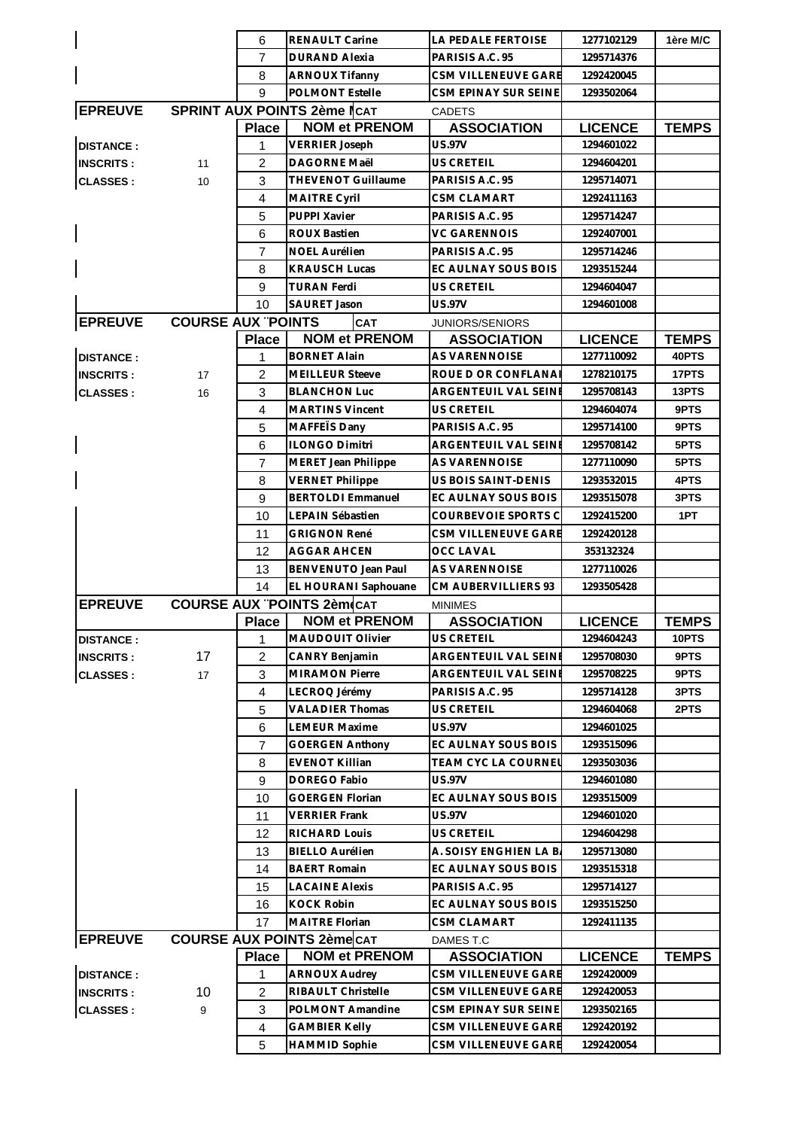|                  |                           | 6              | <b>RENAULT Carine</b>                         | LA PEDALE FERTOISE                            | 1277102129               | 1ère M/C     |
|------------------|---------------------------|----------------|-----------------------------------------------|-----------------------------------------------|--------------------------|--------------|
|                  |                           | 7              | <b>DURAND Alexia</b>                          | PARISIS A.C. 95                               | 1295714376               |              |
|                  |                           | 8              | <b>ARNOUX Tifanny</b>                         | <b>CSM VILLENEUVE GARE</b>                    | 1292420045               |              |
|                  |                           | 9              | <b>POLMONT Estelle</b>                        | CSM EPINAY SUR SEINE                          | 1293502064               |              |
| <b>EPREUVE</b>   |                           |                | SPRINT AUX POINTS 2ème lCAT                   | <b>CADETS</b>                                 |                          |              |
|                  |                           | <b>Place</b>   | <b>NOM et PRENOM</b>                          | <b>ASSOCIATION</b>                            | <b>LICENCE</b>           | <b>TEMPS</b> |
| <b>DISTANCE:</b> |                           | 1              | <b>VERRIER Joseph</b>                         | <b>US.97V</b>                                 | 1294601022               |              |
| <b>INSCRITS:</b> | 11                        | 2              | <b>DAGORNE Maël</b>                           | US CRETEIL                                    | 1294604201               |              |
| <b>CLASSES:</b>  | 10                        | 3              | <b>THEVENOT Guillaume</b>                     | PARISIS A.C. 95                               | 1295714071               |              |
|                  |                           | $\overline{4}$ | MAITRE Cyril                                  | <b>CSM CLAMART</b>                            | 1292411163               |              |
|                  |                           | 5              | PUPPI Xavier                                  | PARISIS A.C. 95                               | 1295714247               |              |
|                  |                           | 6              | <b>ROUX Bastien</b>                           | VC GARENNOIS                                  | 1292407001               |              |
|                  |                           | 7              | <b>NOEL Aurélien</b>                          | PARISIS A.C. 95                               | 1295714246               |              |
|                  |                           | 8              | <b>KRAUSCH Lucas</b>                          | EC AULNAY SOUS BOIS                           | 1293515244               |              |
|                  |                           | 9              | TURAN Ferdi                                   | US CRETEIL                                    | 1294604047               |              |
|                  |                           | 10             | <b>SAURET Jason</b>                           | <b>US.97V</b>                                 | 1294601008               |              |
| <b>EPREUVE</b>   | <b>COURSE AUX "POINTS</b> |                | <b>CAT</b>                                    | JUNIORS/SENIORS                               |                          |              |
|                  |                           | <b>Place</b>   | <b>NOM et PRENOM</b>                          | <b>ASSOCIATION</b>                            | <b>LICENCE</b>           | <b>TEMPS</b> |
| <b>DISTANCE:</b> |                           | 1              | <b>BORNET Alain</b>                           | AS VARENNOISE                                 | 1277110092               | 40PTS        |
| <b>INSCRITS:</b> | 17                        | 2              | <b>MEILLEUR Steeve</b>                        | ROUE D OR CONFLANAI                           | 1278210175               | 17PTS        |
| <b>CLASSES:</b>  | 16                        | 3              | <b>BLANCHON Luc</b>                           | ARGENTEUIL VAL SEINE                          | 1295708143               | 13PTS        |
|                  |                           | 4              | <b>MARTINS Vincent</b>                        | US CRETEIL                                    | 1294604074               | 9PTS         |
|                  |                           | 5              | MAFFEIS Dany                                  | PARISIS A.C. 95                               | 1295714100               | 9PTS         |
|                  |                           | 6              | <b>ILONGO Dimitri</b>                         | ARGENTEUIL VAL SEINI                          | 1295708142               | 5PTS         |
|                  |                           | $\overline{7}$ | MERET Jean Philippe                           | AS VARENNOISE                                 | 1277110090               | 5PTS         |
|                  |                           | 8              | <b>VERNET Philippe</b>                        | US BOIS SAINT-DENIS                           | 1293532015               | 4PTS         |
|                  |                           | 9              | <b>BERTOLDI Emmanuel</b>                      | EC AULNAY SOUS BOIS                           | 1293515078               | 3PTS         |
|                  |                           | 10             | LEPAIN Sébastien                              | COURBEVOIE SPORTS C                           | 1292415200               | 1PT          |
|                  |                           | 11             | <b>GRIGNON René</b>                           | <b>CSM VILLENEUVE GARE</b>                    | 1292420128               |              |
|                  |                           | 12             | AGGAR AHCEN                                   | OCC LAVAL                                     | 353132324                |              |
|                  |                           | 13             | <b>BENVENUTO Jean Paul</b>                    | <b>AS VARENNOISE</b>                          | 1277110026               |              |
|                  |                           | 14             | EL HOURANI Saphouane                          | CM AUBERVILLIERS 93                           | 1293505428               |              |
| <b>EPREUVE</b>   |                           |                | <b>COURSE AUX "POINTS 2èm CAT</b>             | <b>MINIMES</b>                                |                          |              |
|                  |                           | <b>Place</b>   | <b>NOM et PRENOM</b>                          | <b>ASSOCIATION</b>                            | <b>LICENCE</b>           | <b>TEMPS</b> |
| <b>DISTANCE:</b> |                           | 1              | MAUDOUIT Olivier                              | US CRETEIL                                    | 1294604243               | <b>10PTS</b> |
| <b>INSCRITS:</b> | 17                        | $\overline{c}$ | <b>CANRY Benjamin</b>                         | ARGENTEUIL VAL SEINE                          | 1295708030               | 9PTS         |
| <b>CLASSES:</b>  | 17                        | 3              | <b>MIRAMON Pierre</b>                         | ARGENTEUIL VAL SEINE                          | 1295708225               | 9PTS         |
|                  |                           | $\overline{4}$ | LECROQ Jérémy                                 | PARISIS A.C. 95                               | 1295714128               | 3PTS         |
|                  |                           | 5              | <b>VALADIER Thomas</b>                        | US CRETEIL                                    | 1294604068               | 2PTS         |
|                  |                           | 6              | <b>LEMEUR Maxime</b>                          | <b>US.97V</b>                                 | 1294601025               |              |
|                  |                           | 7              | <b>GOERGEN Anthony</b>                        | EC AULNAY SOUS BOIS                           | 1293515096               |              |
|                  |                           | 8              | <b>EVENOT Killian</b>                         | TEAM CYC LA COURNEL                           | 1293503036               |              |
|                  |                           | 9              | DOREGO Fabio                                  | US.97V<br>EC AULNAY SOUS BOIS                 | 1294601080               |              |
|                  |                           | 10             | GOERGEN Florian                               |                                               | 1293515009               |              |
|                  |                           | 11             | <b>VERRIER Frank</b>                          | <b>US.97V</b>                                 | 1294601020               |              |
|                  |                           | 12             | RICHARD Louis                                 | US CRETEIL                                    | 1294604298               |              |
|                  |                           | 13             | <b>BIELLO Aurélien</b><br><b>BAERT Romain</b> | A. SOISY ENGHIEN LA B.<br>EC AULNAY SOUS BOIS | 1295713080               |              |
|                  |                           | 14<br>15       | <b>LACAINE Alexis</b>                         | PARISIS A.C. 95                               | 1293515318<br>1295714127 |              |
|                  |                           |                |                                               |                                               |                          |              |
|                  |                           | 16<br>17       | <b>KOCK Robin</b><br>MAITRE Florian           | EC AULNAY SOUS BOIS<br>CSM CLAMART            | 1293515250<br>1292411135 |              |
| <b>EPREUVE</b>   |                           |                | <b>COURSE AUX POINTS 2ème CAT</b>             | DAMES T.C                                     |                          |              |
|                  |                           | <b>Place</b>   | <b>NOM et PRENOM</b>                          | <b>ASSOCIATION</b>                            | <b>LICENCE</b>           | <b>TEMPS</b> |
| <b>DISTANCE:</b> |                           | 1              | <b>ARNOUX Audrey</b>                          | CSM VILLENEUVE GARE                           | 1292420009               |              |
| <b>INSCRITS:</b> | 10                        | 2              | RIBAULT Christelle                            | CSM VILLENEUVE GARE                           | 1292420053               |              |
| <b>CLASSES:</b>  | 9                         | 3              | POLMONT Amandine                              | CSM EPINAY SUR SEINE                          | 1293502165               |              |
|                  |                           | $\overline{4}$ | <b>GAMBIER Kelly</b>                          | CSM VILLENEUVE GARE                           | 1292420192               |              |
|                  |                           |                |                                               | CSM VILLENEUVE GARE                           | 1292420054               |              |
|                  |                           | 5              | <b>HAMMID Sophie</b>                          |                                               |                          |              |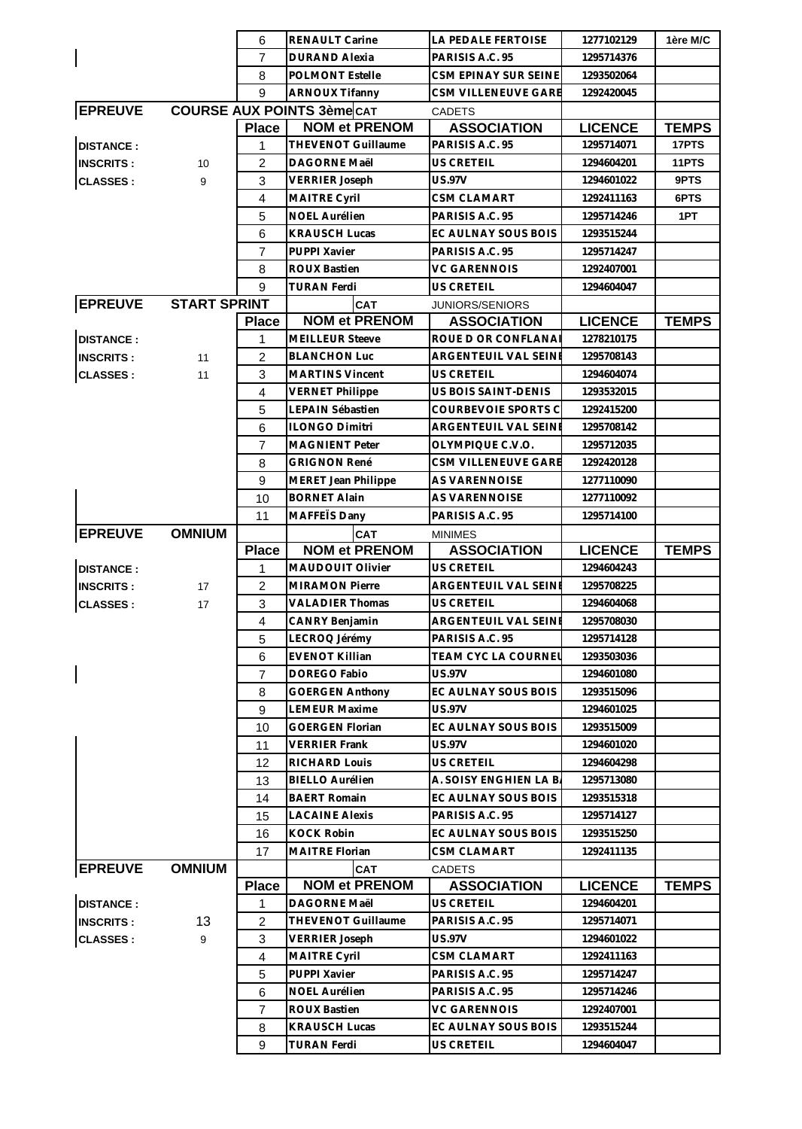|                  |                     | 6              | <b>RENAULT Carine</b>             | LA PEDALE FERTOISE     | 1277102129     | 1ère M/C     |
|------------------|---------------------|----------------|-----------------------------------|------------------------|----------------|--------------|
|                  |                     | $\overline{7}$ | <b>DURAND Alexia</b>              | PARISIS A.C. 95        | 1295714376     |              |
|                  |                     | 8              | <b>POLMONT Estelle</b>            | CSM EPINAY SUR SEINE   | 1293502064     |              |
|                  |                     | 9              | <b>ARNOUX Tifanny</b>             | CSM VILLENEUVE GARE    | 1292420045     |              |
| <b>EPREUVE</b>   |                     |                | <b>COURSE AUX POINTS 3ème CAT</b> | <b>CADETS</b>          |                |              |
|                  |                     | <b>Place</b>   | <b>NOM et PRENOM</b>              | <b>ASSOCIATION</b>     | <b>LICENCE</b> | <b>TEMPS</b> |
| <b>DISTANCE:</b> |                     | 1              | <b>THEVENOT Guillaume</b>         | PARISIS A.C. 95        | 1295714071     | 17PTS        |
| <b>INSCRITS:</b> | 10                  | $\overline{2}$ | DAGORNE Maël                      | <b>US CRETEIL</b>      | 1294604201     | 11PTS        |
| <b>CLASSES:</b>  | 9                   | 3              | <b>VERRIER Joseph</b>             | <b>US.97V</b>          | 1294601022     | 9PTS         |
|                  |                     | $\overline{4}$ | MAITRE Cyril                      | <b>CSM CLAMART</b>     | 1292411163     | 6PTS         |
|                  |                     | 5              | NOEL Aurélien                     | PARISIS A.C. 95        | 1295714246     | 1PT          |
|                  |                     | 6              | <b>KRAUSCH Lucas</b>              | EC AULNAY SOUS BOIS    | 1293515244     |              |
|                  |                     | $\overline{7}$ | PUPPI Xavier                      | PARISIS A.C. 95        | 1295714247     |              |
|                  |                     | 8              | <b>ROUX Bastien</b>               | <b>VC GARENNOIS</b>    | 1292407001     |              |
|                  |                     | 9              | <b>TURAN Ferdi</b>                | <b>US CRETEIL</b>      | 1294604047     |              |
| <b>EPREUVE</b>   | <b>START SPRINT</b> |                | CAT                               | JUNIORS/SENIORS        |                |              |
|                  |                     | <b>Place</b>   | <b>NOM et PRENOM</b>              | <b>ASSOCIATION</b>     | <b>LICENCE</b> | <b>TEMPS</b> |
| <b>DISTANCE:</b> |                     | 1              | <b>MEILLEUR Steeve</b>            | ROUE D OR CONFLANA     | 1278210175     |              |
| <b>INSCRITS:</b> | 11                  | $\overline{2}$ | <b>BLANCHON Luc</b>               | ARGENTEUIL VAL SEINE   | 1295708143     |              |
| <b>CLASSES:</b>  | 11                  | 3              | <b>MARTINS Vincent</b>            | US CRETEIL             | 1294604074     |              |
|                  |                     | $\overline{4}$ | <b>VERNET Philippe</b>            | US BOIS SAINT-DENIS    | 1293532015     |              |
|                  |                     | 5              | LEPAIN Sébastien                  | COURBEVOIE SPORTS C    | 1292415200     |              |
|                  |                     | 6              | <b>ILONGO Dimitri</b>             | ARGENTEUIL VAL SEINE   | 1295708142     |              |
|                  |                     | $\overline{7}$ | <b>MAGNIENT Peter</b>             | OLYMPIQUE C.V.O.       | 1295712035     |              |
|                  |                     | 8              | <b>GRIGNON René</b>               | CSM VILLENEUVE GARE    | 1292420128     |              |
|                  |                     | 9              | MERET Jean Philippe               | AS VARENNOISE          | 1277110090     |              |
|                  |                     | 10             | <b>BORNET Alain</b>               | AS VARENNOISE          | 1277110092     |              |
|                  |                     | 11             | MAFFETS Dany                      | PARISIS A.C. 95        | 1295714100     |              |
| <b>EPREUVE</b>   | <b>OMNIUM</b>       |                | CAT                               | <b>MINIMES</b>         |                |              |
|                  |                     | <b>Place</b>   | <b>NOM et PRENOM</b>              | <b>ASSOCIATION</b>     | <b>LICENCE</b> | <b>TEMPS</b> |
| <b>DISTANCE:</b> |                     | 1              | MAUDOUIT Olivier                  | <b>US CRETEIL</b>      | 1294604243     |              |
| <b>INSCRITS:</b> | 17                  | $\overline{c}$ | <b>MIRAMON Pierre</b>             | ARGENTEUIL VAL SEINE   | 1295708225     |              |
| <b>CLASSES:</b>  | 17                  | 3              | <b>VALADIER Thomas</b>            | <b>US CRETEIL</b>      | 1294604068     |              |
|                  |                     | $\overline{4}$ | CANRY Benjamin                    | ARGENTEUIL VAL SEINE   | 1295708030     |              |
|                  |                     | 5              | LECROQ Jérémy                     | PARISIS A.C. 95        | 1295714128     |              |
|                  |                     | 6              | <b>EVENOT Killian</b>             | TEAM CYC LA COURNEL    | 1293503036     |              |
|                  |                     | 7              | DOREGO Fabio                      | <b>US.97V</b>          | 1294601080     |              |
|                  |                     | 8              | <b>GOERGEN Anthony</b>            | EC AULNAY SOUS BOIS    | 1293515096     |              |
|                  |                     | 9              | <b>LEMEUR Maxime</b>              | <b>US.97V</b>          | 1294601025     |              |
|                  |                     | 10             | <b>GOERGEN Florian</b>            | EC AULNAY SOUS BOIS    | 1293515009     |              |
|                  |                     | 11             | <b>VERRIER Frank</b>              | <b>US.97V</b>          | 1294601020     |              |
|                  |                     | 12             | RICHARD Louis                     | US CRETEIL             | 1294604298     |              |
|                  |                     | 13             | <b>BIELLO Aurélien</b>            | A. SOISY ENGHIEN LA B. | 1295713080     |              |
|                  |                     | 14             | <b>BAERT Romain</b>               | EC AULNAY SOUS BOIS    | 1293515318     |              |
|                  |                     | 15             | <b>LACAINE Alexis</b>             | PARISIS A.C. 95        | 1295714127     |              |
|                  |                     | 16             | <b>KOCK Robin</b>                 | EC AULNAY SOUS BOIS    | 1293515250     |              |
|                  |                     | 17             | <b>MAITRE Florian</b>             | CSM CLAMART            | 1292411135     |              |
| <b>EPREUVE</b>   | <b>OMNIUM</b>       |                | <b>CAT</b>                        | <b>CADETS</b>          |                |              |
|                  |                     | <b>Place</b>   | <b>NOM et PRENOM</b>              | <b>ASSOCIATION</b>     | <b>LICENCE</b> | <b>TEMPS</b> |
| <b>DISTANCE:</b> |                     | 1              | DAGORNE Maël                      | US CRETEIL             | 1294604201     |              |
| <b>INSCRITS:</b> | 13                  | $\overline{2}$ | THEVENOT Guillaume                | PARISIS A.C. 95        | 1295714071     |              |
| <b>CLASSES:</b>  | 9                   | 3              | <b>VERRIER Joseph</b>             | US.97V                 | 1294601022     |              |
|                  |                     | $\overline{4}$ | MAITRE Cyril                      | <b>CSM CLAMART</b>     | 1292411163     |              |
|                  |                     | 5              | PUPPI Xavier                      | PARISIS A.C. 95        | 1295714247     |              |
|                  |                     | 6              | NOEL Aurélien                     | PARISIS A.C. 95        | 1295714246     |              |
|                  |                     | $\overline{7}$ | <b>ROUX Bastien</b>               | <b>VC GARENNOIS</b>    | 1292407001     |              |
|                  |                     | 8              | <b>KRAUSCH Lucas</b>              | EC AULNAY SOUS BOIS    | 1293515244     |              |
|                  |                     | 9              | <b>TURAN Ferdi</b>                | <b>US CRETEIL</b>      | 1294604047     |              |
|                  |                     |                |                                   |                        |                |              |